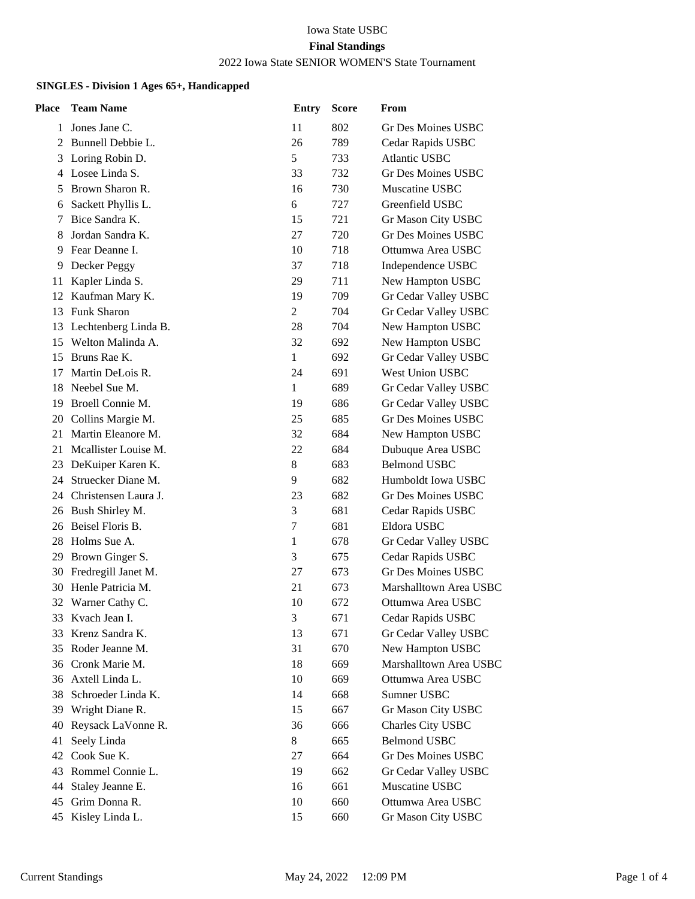### Iowa State USBC **Final Standings** 2022 Iowa State SENIOR WOMEN'S State Tournament

### **SINGLES - Division 1 Ages 65+, Handicapped**

| <b>Place</b> | <b>Team Name</b>     | <b>Entry</b> | <b>Score</b> | From                      |
|--------------|----------------------|--------------|--------------|---------------------------|
| 1            | Jones Jane C.        | 11           | 802          | Gr Des Moines USBC        |
| 2            | Bunnell Debbie L.    | 26           | 789          | Cedar Rapids USBC         |
| 3            | Loring Robin D.      | 5            | 733          | <b>Atlantic USBC</b>      |
| 4            | Losee Linda S.       | 33           | 732          | Gr Des Moines USBC        |
| 5            | Brown Sharon R.      | 16           | 730          | Muscatine USBC            |
| 6            | Sackett Phyllis L.   | 6            | 727          | Greenfield USBC           |
| 7            | Bice Sandra K.       | 15           | 721          | Gr Mason City USBC        |
| 8            | Jordan Sandra K.     | 27           | 720          | <b>Gr Des Moines USBC</b> |
| 9            | Fear Deanne I.       | 10           | 718          | Ottumwa Area USBC         |
| 9            | Decker Peggy         | 37           | 718          | Independence USBC         |
| 11           | Kapler Linda S.      | 29           | 711          | New Hampton USBC          |
| 12           | Kaufman Mary K.      | 19           | 709          | Gr Cedar Valley USBC      |
| 13           | Funk Sharon          | 2            | 704          | Gr Cedar Valley USBC      |
| 13           | Lechtenberg Linda B. | 28           | 704          | New Hampton USBC          |
| 15           | Welton Malinda A.    | 32           | 692          | New Hampton USBC          |
| 15           | Bruns Rae K.         | $\mathbf 1$  | 692          | Gr Cedar Valley USBC      |
| 17           | Martin DeLois R.     | 24           | 691          | <b>West Union USBC</b>    |
| 18           | Neebel Sue M.        | $\mathbf{1}$ | 689          | Gr Cedar Valley USBC      |
| 19           | Broell Connie M.     | 19           | 686          | Gr Cedar Valley USBC      |
| 20           | Collins Margie M.    | 25           | 685          | <b>Gr Des Moines USBC</b> |
| 21           | Martin Eleanore M.   | 32           | 684          | New Hampton USBC          |
| 21           | Mcallister Louise M. | 22           | 684          | Dubuque Area USBC         |
| 23           | DeKuiper Karen K.    | $\,8\,$      | 683          | <b>Belmond USBC</b>       |
| 24           | Struecker Diane M.   | 9            | 682          | Humboldt Iowa USBC        |
| 24           | Christensen Laura J. | 23           | 682          | <b>Gr Des Moines USBC</b> |
| 26           | Bush Shirley M.      | 3            | 681          | Cedar Rapids USBC         |
| 26           | Beisel Floris B.     | $\tau$       | 681          | Eldora USBC               |
| 28           | Holms Sue A.         | $\mathbf{1}$ | 678          | Gr Cedar Valley USBC      |
| 29           | Brown Ginger S.      | 3            | 675          | Cedar Rapids USBC         |
| 30           | Fredregill Janet M.  | 27           | 673          | Gr Des Moines USBC        |
| 30           | Henle Patricia M.    | 21           | 673          | Marshalltown Area USBC    |
| 32           | Warner Cathy C.      | 10           | 672          | Ottumwa Area USBC         |
| 33           | Kvach Jean I.        | 3            | 671          | Cedar Rapids USBC         |
| 33           | Krenz Sandra K.      | 13           | 671          | Gr Cedar Valley USBC      |
| 35           | Roder Jeanne M.      | 31           | 670          | New Hampton USBC          |
|              | 36 Cronk Marie M.    | 18           | 669          | Marshalltown Area USBC    |
| 36           | Axtell Linda L.      | 10           | 669          | Ottumwa Area USBC         |
| 38           | Schroeder Linda K.   | 14           | 668          | Sumner USBC               |
| 39           | Wright Diane R.      | 15           | 667          | Gr Mason City USBC        |
| 40           | Reysack LaVonne R.   | 36           | 666          | Charles City USBC         |
| 41           | Seely Linda          | 8            | 665          | <b>Belmond USBC</b>       |
| 42           | Cook Sue K.          | 27           | 664          | Gr Des Moines USBC        |
| 43           | Rommel Connie L.     | 19           | 662          | Gr Cedar Valley USBC      |
| 44           | Staley Jeanne E.     | 16           | 661          | Muscatine USBC            |
| 45           | Grim Donna R.        | 10           | 660          | Ottumwa Area USBC         |
| 45           | Kisley Linda L.      | 15           | 660          | Gr Mason City USBC        |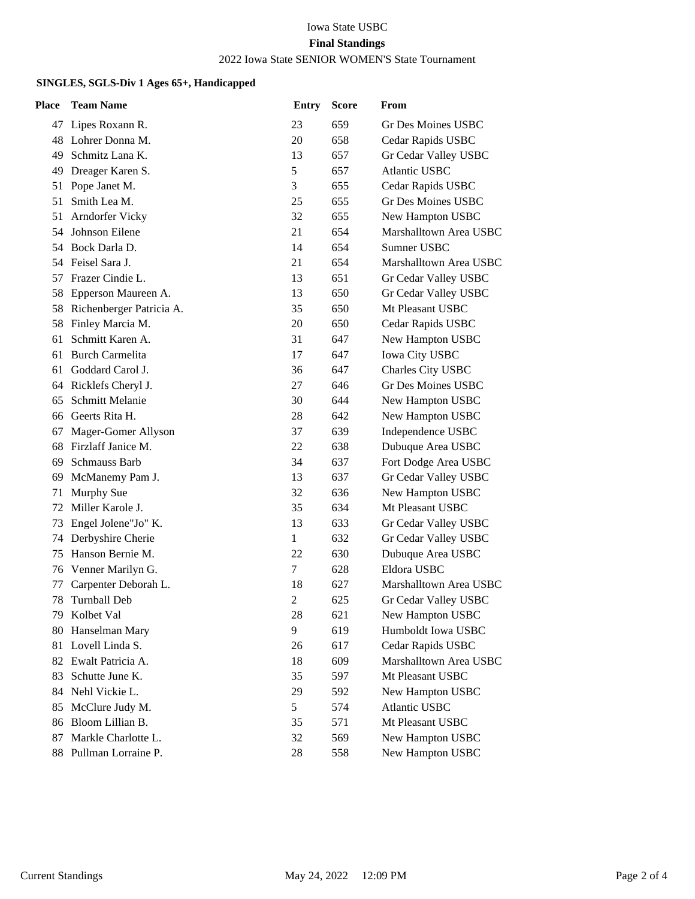### Iowa State USBC **Final Standings**

# 2022 Iowa State SENIOR WOMEN'S State Tournament

### **SINGLES, SGLS-Div 1 Ages 65+, Handicapped**

| <b>Place</b> | <b>Team Name</b>         | <b>Entry</b>   | <b>Score</b> | From                      |
|--------------|--------------------------|----------------|--------------|---------------------------|
|              | 47 Lipes Roxann R.       | 23             | 659          | <b>Gr Des Moines USBC</b> |
| 48           | Lohrer Donna M.          | 20             | 658          | Cedar Rapids USBC         |
| 49           | Schmitz Lana K.          | 13             | 657          | Gr Cedar Valley USBC      |
| 49           | Dreager Karen S.         | 5              | 657          | <b>Atlantic USBC</b>      |
| 51           | Pope Janet M.            | 3              | 655          | Cedar Rapids USBC         |
| 51           | Smith Lea M.             | 25             | 655          | <b>Gr Des Moines USBC</b> |
| 51           | Arndorfer Vicky          | 32             | 655          | New Hampton USBC          |
| 54           | Johnson Eilene           | 21             | 654          | Marshalltown Area USBC    |
| 54           | Bock Darla D.            | 14             | 654          | Sumner USBC               |
| 54           | Feisel Sara J.           | 21             | 654          | Marshalltown Area USBC    |
| 57           | Frazer Cindie L.         | 13             | 651          | Gr Cedar Valley USBC      |
| 58           | Epperson Maureen A.      | 13             | 650          | Gr Cedar Valley USBC      |
| 58           | Richenberger Patricia A. | 35             | 650          | Mt Pleasant USBC          |
| 58           | Finley Marcia M.         | 20             | 650          | Cedar Rapids USBC         |
| 61           | Schmitt Karen A.         | 31             | 647          | New Hampton USBC          |
| 61           | <b>Burch Carmelita</b>   | 17             | 647          | <b>Iowa City USBC</b>     |
| 61           | Goddard Carol J.         | 36             | 647          | Charles City USBC         |
| 64           | Ricklefs Cheryl J.       | 27             | 646          | Gr Des Moines USBC        |
| 65           | <b>Schmitt Melanie</b>   | 30             | 644          | New Hampton USBC          |
|              | 66 Geerts Rita H.        | 28             | 642          | New Hampton USBC          |
| 67           | Mager-Gomer Allyson      | 37             | 639          | Independence USBC         |
| 68           | Firzlaff Janice M.       | 22             | 638          | Dubuque Area USBC         |
| 69           | Schmauss Barb            | 34             | 637          | Fort Dodge Area USBC      |
|              | 69 McManemy Pam J.       | 13             | 637          | Gr Cedar Valley USBC      |
| 71           | Murphy Sue               | 32             | 636          | New Hampton USBC          |
| 72           | Miller Karole J.         | 35             | 634          | Mt Pleasant USBC          |
| 73           | Engel Jolene"Jo" K.      | 13             | 633          | Gr Cedar Valley USBC      |
| 74           | Derbyshire Cherie        | $\mathbf{1}$   | 632          | Gr Cedar Valley USBC      |
| 75           | Hanson Bernie M.         | 22             | 630          | Dubuque Area USBC         |
| 76           | Venner Marilyn G.        | 7              | 628          | Eldora USBC               |
| 77           | Carpenter Deborah L.     | 18             | 627          | Marshalltown Area USBC    |
| 78           | <b>Turnball Deb</b>      | $\overline{c}$ | 625          | Gr Cedar Valley USBC      |
|              | 79 Kolbet Val            | 28             | 621          | New Hampton USBC          |
| 80           | Hanselman Mary           | 9              | 619          | Humboldt Iowa USBC        |
| 81           | Lovell Linda S.          | 26             | 617          | Cedar Rapids USBC         |
| 82           | Ewalt Patricia A.        | 18             | 609          | Marshalltown Area USBC    |
| 83           | Schutte June K.          | 35             | 597          | Mt Pleasant USBC          |
| 84           | Nehl Vickie L.           | 29             | 592          | New Hampton USBC          |
| 85           | McClure Judy M.          | 5              | 574          | <b>Atlantic USBC</b>      |
| 86           | Bloom Lillian B.         | 35             | 571          | Mt Pleasant USBC          |
| 87           | Markle Charlotte L.      | 32             | 569          | New Hampton USBC          |
| 88           | Pullman Lorraine P.      | 28             | 558          | New Hampton USBC          |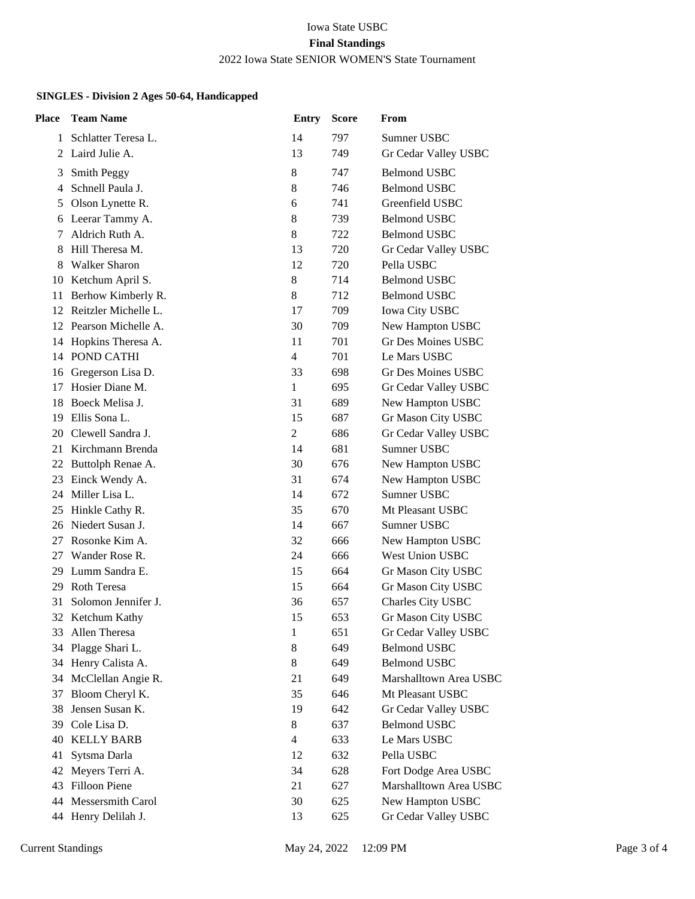## Iowa State USBC **Final Standings** 2022 Iowa State SENIOR WOMEN'S State Tournament

### **SINGLES - Division 2 Ages 50-64, Handicapped**

| Place | <b>Team Name</b>     | <b>Entry</b>   | <b>Score</b> | From                      |
|-------|----------------------|----------------|--------------|---------------------------|
| 1     | Schlatter Teresa L.  | 14             | 797          | Sumner USBC               |
| 2     | Laird Julie A.       | 13             | 749          | Gr Cedar Valley USBC      |
| 3     | Smith Peggy          | 8              | 747          | <b>Belmond USBC</b>       |
| 4     | Schnell Paula J.     | 8              | 746          | <b>Belmond USBC</b>       |
| 5     | Olson Lynette R.     | 6              | 741          | Greenfield USBC           |
| 6     | Leerar Tammy A.      | 8              | 739          | <b>Belmond USBC</b>       |
| 7     | Aldrich Ruth A.      | 8              | 722          | <b>Belmond USBC</b>       |
| 8     | Hill Theresa M.      | 13             | 720          | Gr Cedar Valley USBC      |
| 8     | <b>Walker Sharon</b> | 12             | 720          | Pella USBC                |
| 10    | Ketchum April S.     | 8              | 714          | <b>Belmond USBC</b>       |
| 11    | Berhow Kimberly R.   | 8              | 712          | <b>Belmond USBC</b>       |
| 12    | Reitzler Michelle L. | 17             | 709          | <b>Iowa City USBC</b>     |
| 12    | Pearson Michelle A.  | 30             | 709          | New Hampton USBC          |
| 14    | Hopkins Theresa A.   | 11             | 701          | <b>Gr Des Moines USBC</b> |
|       | 14 POND CATHI        | $\overline{4}$ | 701          | Le Mars USBC              |
| 16    | Gregerson Lisa D.    | 33             | 698          | Gr Des Moines USBC        |
| 17    | Hosier Diane M.      | $\mathbf{1}$   | 695          | Gr Cedar Valley USBC      |
| 18    | Boeck Melisa J.      | 31             | 689          | New Hampton USBC          |
| 19    | Ellis Sona L.        | 15             | 687          | Gr Mason City USBC        |
| 20    | Clewell Sandra J.    | 2              | 686          | Gr Cedar Valley USBC      |
| 21    | Kirchmann Brenda     | 14             | 681          | Sumner USBC               |
| 22    | Buttolph Renae A.    | 30             | 676          | New Hampton USBC          |
| 23    | Einck Wendy A.       | 31             | 674          | New Hampton USBC          |
| 24    | Miller Lisa L.       | 14             | 672          | Sumner USBC               |
| 25    | Hinkle Cathy R.      | 35             | 670          | Mt Pleasant USBC          |
| 26    | Niedert Susan J.     | 14             | 667          | Sumner USBC               |
| 27    | Rosonke Kim A.       | 32             | 666          | New Hampton USBC          |
| 27    | Wander Rose R.       | 24             | 666          | <b>West Union USBC</b>    |
| 29    | Lumm Sandra E.       | 15             | 664          | Gr Mason City USBC        |
| 29    | Roth Teresa          | 15             | 664          | Gr Mason City USBC        |
| 31    | Solomon Jennifer J.  | 36             | 657          | Charles City USBC         |
| 32    | Ketchum Kathy        | 15             | 653          | Gr Mason City USBC        |
| 33    | Allen Theresa        | 1              | 651          | Gr Cedar Valley USBC      |
| 34    | Plagge Shari L.      | 8              | 649          | <b>Belmond USBC</b>       |
| 34    | Henry Calista A.     | 8              | 649          | <b>Belmond USBC</b>       |
| 34    | McClellan Angie R.   | 21             | 649          | Marshalltown Area USBC    |
| 37    | Bloom Cheryl K.      | 35             | 646          | Mt Pleasant USBC          |
| 38    | Jensen Susan K.      | 19             | 642          | Gr Cedar Valley USBC      |
|       | 39 Cole Lisa D.      | 8              | 637          | <b>Belmond USBC</b>       |
| 40    | <b>KELLY BARB</b>    | $\overline{4}$ | 633          | Le Mars USBC              |
| 41    | Sytsma Darla         | 12             | 632          | Pella USBC                |
| 42    | Meyers Terri A.      | 34             | 628          | Fort Dodge Area USBC      |
| 43    | Filloon Piene        | 21             | 627          | Marshalltown Area USBC    |
| 44    | Messersmith Carol    | 30             | 625          | New Hampton USBC          |
| 44    | Henry Delilah J.     | 13             | 625          | Gr Cedar Valley USBC      |
|       |                      |                |              |                           |